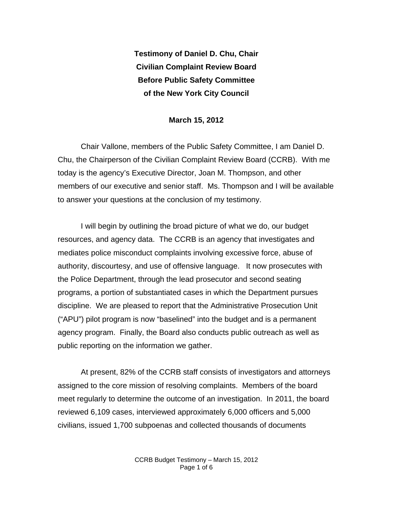**Testimony of Daniel D. Chu, Chair Civilian Complaint Review Board Before Public Safety Committee of the New York City Council** 

## **March 15, 2012**

Chair Vallone, members of the Public Safety Committee, I am Daniel D. Chu, the Chairperson of the Civilian Complaint Review Board (CCRB). With me today is the agency's Executive Director, Joan M. Thompson, and other members of our executive and senior staff. Ms. Thompson and I will be available to answer your questions at the conclusion of my testimony.

I will begin by outlining the broad picture of what we do, our budget resources, and agency data. The CCRB is an agency that investigates and mediates police misconduct complaints involving excessive force, abuse of authority, discourtesy, and use of offensive language. It now prosecutes with the Police Department, through the lead prosecutor and second seating programs, a portion of substantiated cases in which the Department pursues discipline. We are pleased to report that the Administrative Prosecution Unit ("APU") pilot program is now "baselined" into the budget and is a permanent agency program. Finally, the Board also conducts public outreach as well as public reporting on the information we gather.

At present, 82% of the CCRB staff consists of investigators and attorneys assigned to the core mission of resolving complaints. Members of the board meet regularly to determine the outcome of an investigation. In 2011, the board reviewed 6,109 cases, interviewed approximately 6,000 officers and 5,000 civilians, issued 1,700 subpoenas and collected thousands of documents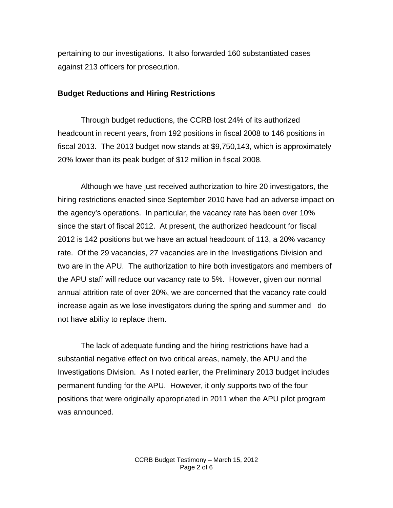pertaining to our investigations. It also forwarded 160 substantiated cases against 213 officers for prosecution.

## **Budget Reductions and Hiring Restrictions**

Through budget reductions, the CCRB lost 24% of its authorized headcount in recent years, from 192 positions in fiscal 2008 to 146 positions in fiscal 2013. The 2013 budget now stands at \$9,750,143, which is approximately 20% lower than its peak budget of \$12 million in fiscal 2008.

Although we have just received authorization to hire 20 investigators, the hiring restrictions enacted since September 2010 have had an adverse impact on the agency's operations. In particular, the vacancy rate has been over 10% since the start of fiscal 2012. At present, the authorized headcount for fiscal 2012 is 142 positions but we have an actual headcount of 113, a 20% vacancy rate. Of the 29 vacancies, 27 vacancies are in the Investigations Division and two are in the APU. The authorization to hire both investigators and members of the APU staff will reduce our vacancy rate to 5%. However, given our normal annual attrition rate of over 20%, we are concerned that the vacancy rate could increase again as we lose investigators during the spring and summer and do not have ability to replace them.

The lack of adequate funding and the hiring restrictions have had a substantial negative effect on two critical areas, namely, the APU and the Investigations Division. As I noted earlier, the Preliminary 2013 budget includes permanent funding for the APU. However, it only supports two of the four positions that were originally appropriated in 2011 when the APU pilot program was announced.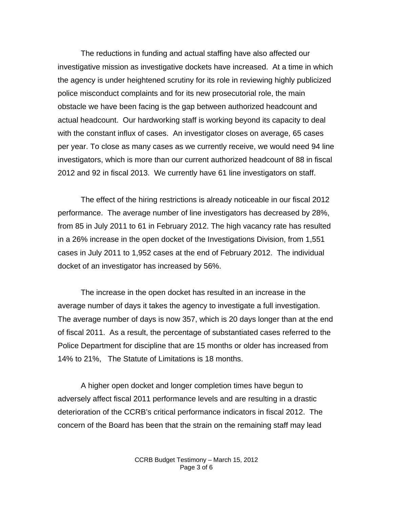The reductions in funding and actual staffing have also affected our investigative mission as investigative dockets have increased. At a time in which the agency is under heightened scrutiny for its role in reviewing highly publicized police misconduct complaints and for its new prosecutorial role, the main obstacle we have been facing is the gap between authorized headcount and actual headcount. Our hardworking staff is working beyond its capacity to deal with the constant influx of cases. An investigator closes on average, 65 cases per year. To close as many cases as we currently receive, we would need 94 line investigators, which is more than our current authorized headcount of 88 in fiscal 2012 and 92 in fiscal 2013. We currently have 61 line investigators on staff.

The effect of the hiring restrictions is already noticeable in our fiscal 2012 performance. The average number of line investigators has decreased by 28%, from 85 in July 2011 to 61 in February 2012. The high vacancy rate has resulted in a 26% increase in the open docket of the Investigations Division, from 1,551 cases in July 2011 to 1,952 cases at the end of February 2012. The individual docket of an investigator has increased by 56%.

The increase in the open docket has resulted in an increase in the average number of days it takes the agency to investigate a full investigation. The average number of days is now 357, which is 20 days longer than at the end of fiscal 2011. As a result, the percentage of substantiated cases referred to the Police Department for discipline that are 15 months or older has increased from 14% to 21%, The Statute of Limitations is 18 months.

A higher open docket and longer completion times have begun to adversely affect fiscal 2011 performance levels and are resulting in a drastic deterioration of the CCRB's critical performance indicators in fiscal 2012. The concern of the Board has been that the strain on the remaining staff may lead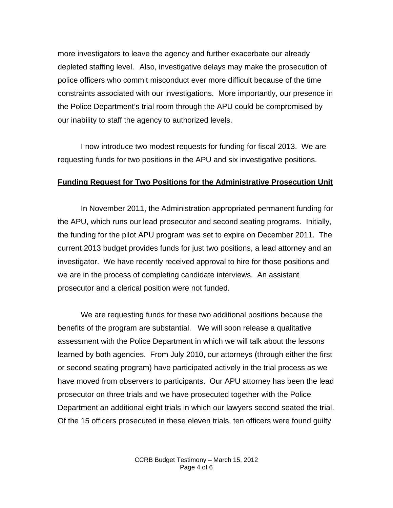more investigators to leave the agency and further exacerbate our already depleted staffing level. Also, investigative delays may make the prosecution of police officers who commit misconduct ever more difficult because of the time constraints associated with our investigations. More importantly, our presence in the Police Department's trial room through the APU could be compromised by our inability to staff the agency to authorized levels.

I now introduce two modest requests for funding for fiscal 2013. We are requesting funds for two positions in the APU and six investigative positions.

## **Funding Request for Two Positions for the Administrative Prosecution Unit**

In November 2011, the Administration appropriated permanent funding for the APU, which runs our lead prosecutor and second seating programs. Initially, the funding for the pilot APU program was set to expire on December 2011. The current 2013 budget provides funds for just two positions, a lead attorney and an investigator. We have recently received approval to hire for those positions and we are in the process of completing candidate interviews. An assistant prosecutor and a clerical position were not funded.

We are requesting funds for these two additional positions because the benefits of the program are substantial. We will soon release a qualitative assessment with the Police Department in which we will talk about the lessons learned by both agencies. From July 2010, our attorneys (through either the first or second seating program) have participated actively in the trial process as we have moved from observers to participants. Our APU attorney has been the lead prosecutor on three trials and we have prosecuted together with the Police Department an additional eight trials in which our lawyers second seated the trial. Of the 15 officers prosecuted in these eleven trials, ten officers were found guilty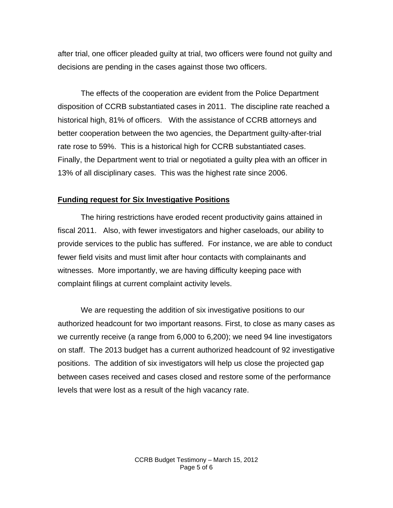after trial, one officer pleaded guilty at trial, two officers were found not guilty and decisions are pending in the cases against those two officers.

The effects of the cooperation are evident from the Police Department disposition of CCRB substantiated cases in 2011. The discipline rate reached a historical high, 81% of officers. With the assistance of CCRB attorneys and better cooperation between the two agencies, the Department guilty-after-trial rate rose to 59%. This is a historical high for CCRB substantiated cases. Finally, the Department went to trial or negotiated a guilty plea with an officer in 13% of all disciplinary cases. This was the highest rate since 2006.

## **Funding request for Six Investigative Positions**

The hiring restrictions have eroded recent productivity gains attained in fiscal 2011. Also, with fewer investigators and higher caseloads, our ability to provide services to the public has suffered. For instance, we are able to conduct fewer field visits and must limit after hour contacts with complainants and witnesses. More importantly, we are having difficulty keeping pace with complaint filings at current complaint activity levels.

We are requesting the addition of six investigative positions to our authorized headcount for two important reasons. First, to close as many cases as we currently receive (a range from 6,000 to 6,200); we need 94 line investigators on staff. The 2013 budget has a current authorized headcount of 92 investigative positions. The addition of six investigators will help us close the projected gap between cases received and cases closed and restore some of the performance levels that were lost as a result of the high vacancy rate.